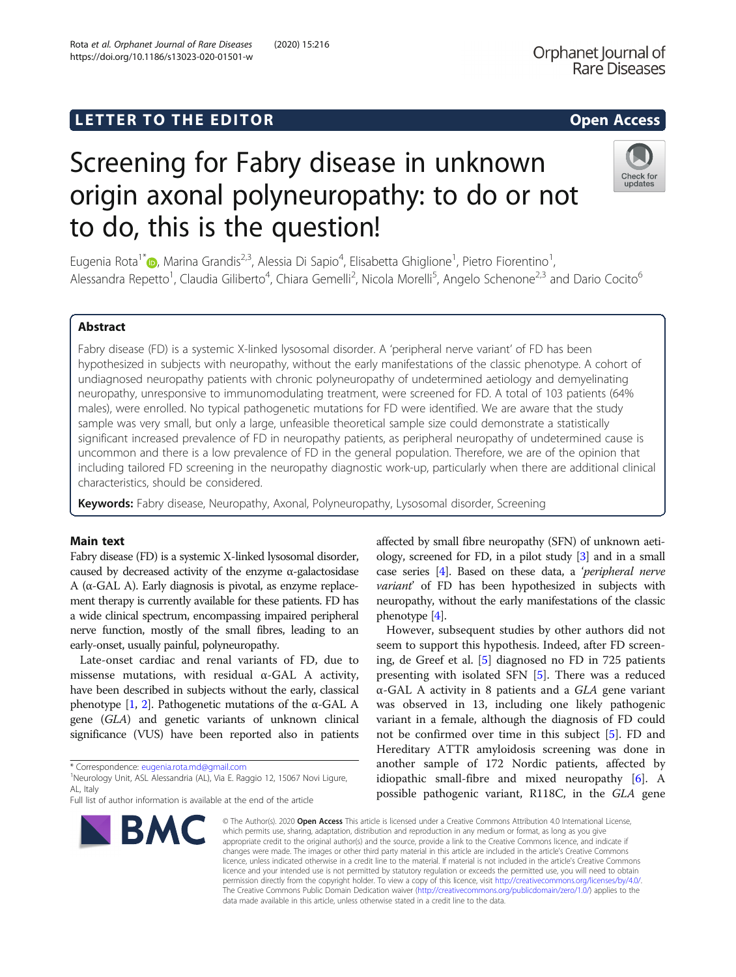# LETTER TO THE EDITOR **CONTROLL CONTROLLER TO THE EDITOR** CONTROLLER TO THE SECTION AND THE SECTION OF THE SECTION

# Screening for Fabry disease in unknown origin axonal polyneuropathy: to do or not to do, this is the question!

Eugenia Rota<sup>1</sup>\*®, Marina Grandis<sup>2,3</sup>, Alessia Di Sapio<sup>4</sup>, Elisabetta Ghiglione<sup>1</sup>, Pietro Fiorentino<sup>1</sup> , Alessandra Repetto<sup>1</sup>, Claudia Giliberto<sup>4</sup>, Chiara Gemelli<sup>2</sup>, Nicola Morelli<sup>5</sup>, Angelo Schenone<sup>2,3</sup> and Dario Cocito<sup>6</sup>

### Abstract

Fabry disease (FD) is a systemic X-linked lysosomal disorder. A 'peripheral nerve variant' of FD has been hypothesized in subjects with neuropathy, without the early manifestations of the classic phenotype. A cohort of undiagnosed neuropathy patients with chronic polyneuropathy of undetermined aetiology and demyelinating neuropathy, unresponsive to immunomodulating treatment, were screened for FD. A total of 103 patients (64% males), were enrolled. No typical pathogenetic mutations for FD were identified. We are aware that the study sample was very small, but only a large, unfeasible theoretical sample size could demonstrate a statistically significant increased prevalence of FD in neuropathy patients, as peripheral neuropathy of undetermined cause is uncommon and there is a low prevalence of FD in the general population. Therefore, we are of the opinion that including tailored FD screening in the neuropathy diagnostic work-up, particularly when there are additional clinical characteristics, should be considered.

Keywords: Fabry disease, Neuropathy, Axonal, Polyneuropathy, Lysosomal disorder, Screening

#### Main text

Fabry disease (FD) is a systemic X-linked lysosomal disorder, caused by decreased activity of the enzyme  $\alpha$ -galactosidase A (α-GAL A). Early diagnosis is pivotal, as enzyme replacement therapy is currently available for these patients. FD has a wide clinical spectrum, encompassing impaired peripheral nerve function, mostly of the small fibres, leading to an early-onset, usually painful, polyneuropathy.

Late-onset cardiac and renal variants of FD, due to missense mutations, with residual  $\alpha$ -GAL A activity, have been described in subjects without the early, classical phenotype  $[1, 2]$  $[1, 2]$  $[1, 2]$  $[1, 2]$ . Pathogenetic mutations of the α-GAL A gene (GLA) and genetic variants of unknown clinical significance (VUS) have been reported also in patients

\* Correspondence: [eugenia.rota.md@gmail.com](mailto:eugenia.rota.md@gmail.com) <sup>1</sup>

<sup>1</sup>Neurology Unit, ASL Alessandria (AL), Via E. Raggio 12, 15067 Novi Ligure, AL, Italy

## Rota et al. Orphanet Journal of Rare Diseases (2020) 15:216 https://doi.org/10.1186/s13023-020-01501-w

affected by small fibre neuropathy (SFN) of unknown aetiology, screened for FD, in a pilot study [\[3](#page-2-0)] and in a small case series [[4](#page-2-0)]. Based on these data, a 'peripheral nerve variant' of FD has been hypothesized in subjects with neuropathy, without the early manifestations of the classic phenotype [[4](#page-2-0)].

However, subsequent studies by other authors did not seem to support this hypothesis. Indeed, after FD screening, de Greef et al. [[5\]](#page-2-0) diagnosed no FD in 725 patients presenting with isolated SFN [[5\]](#page-2-0). There was a reduced α-GAL A activity in 8 patients and a GLA gene variant was observed in 13, including one likely pathogenic variant in a female, although the diagnosis of FD could not be confirmed over time in this subject [[5\]](#page-2-0). FD and Hereditary ATTR amyloidosis screening was done in another sample of 172 Nordic patients, affected by idiopathic small-fibre and mixed neuropathy [\[6](#page-2-0)]. A possible pathogenic variant, R118C, in the GLA gene

© The Author(s), 2020 **Open Access** This article is licensed under a Creative Commons Attribution 4.0 International License, which permits use, sharing, adaptation, distribution and reproduction in any medium or format, as long as you give appropriate credit to the original author(s) and the source, provide a link to the Creative Commons licence, and indicate if changes were made. The images or other third party material in this article are included in the article's Creative Commons licence, unless indicated otherwise in a credit line to the material. If material is not included in the article's Creative Commons licence and your intended use is not permitted by statutory regulation or exceeds the permitted use, you will need to obtain permission directly from the copyright holder. To view a copy of this licence, visit [http://creativecommons.org/licenses/by/4.0/.](http://creativecommons.org/licenses/by/4.0/) The Creative Commons Public Domain Dedication waiver [\(http://creativecommons.org/publicdomain/zero/1.0/](http://creativecommons.org/publicdomain/zero/1.0/)) applies to the data made available in this article, unless otherwise stated in a credit line to the data.





**Rare Diseases** 

Full list of author information is available at the end of the article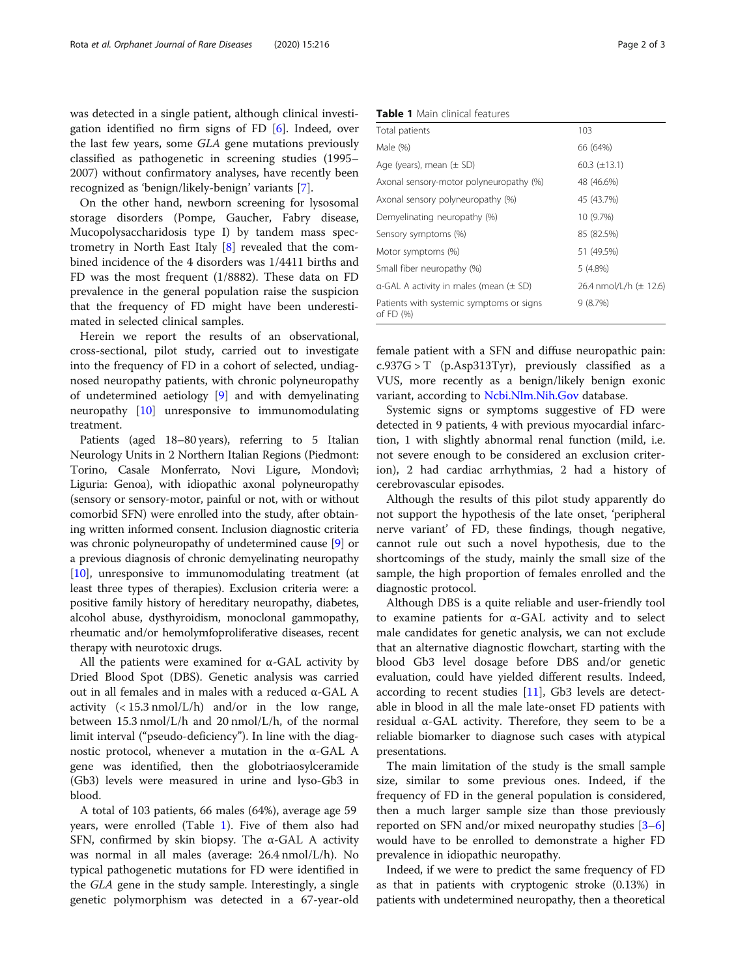was detected in a single patient, although clinical investigation identified no firm signs of FD [[6](#page-2-0)]. Indeed, over the last few years, some GLA gene mutations previously classified as pathogenetic in screening studies (1995– 2007) without confirmatory analyses, have recently been recognized as 'benign/likely-benign' variants [\[7](#page-2-0)].

On the other hand, newborn screening for lysosomal storage disorders (Pompe, Gaucher, Fabry disease, Mucopolysaccharidosis type I) by tandem mass spectrometry in North East Italy [[8\]](#page-2-0) revealed that the combined incidence of the 4 disorders was 1/4411 births and FD was the most frequent (1/8882). These data on FD prevalence in the general population raise the suspicion that the frequency of FD might have been underestimated in selected clinical samples.

Herein we report the results of an observational, cross-sectional, pilot study, carried out to investigate into the frequency of FD in a cohort of selected, undiagnosed neuropathy patients, with chronic polyneuropathy of undetermined aetiology [[9\]](#page-2-0) and with demyelinating neuropathy [\[10](#page-2-0)] unresponsive to immunomodulating treatment.

Patients (aged 18–80 years), referring to 5 Italian Neurology Units in 2 Northern Italian Regions (Piedmont: Torino, Casale Monferrato, Novi Ligure, Mondovì; Liguria: Genoa), with idiopathic axonal polyneuropathy (sensory or sensory-motor, painful or not, with or without comorbid SFN) were enrolled into the study, after obtaining written informed consent. Inclusion diagnostic criteria was chronic polyneuropathy of undetermined cause [\[9\]](#page-2-0) or a previous diagnosis of chronic demyelinating neuropathy [[10](#page-2-0)], unresponsive to immunomodulating treatment (at least three types of therapies). Exclusion criteria were: a positive family history of hereditary neuropathy, diabetes, alcohol abuse, dysthyroidism, monoclonal gammopathy, rheumatic and/or hemolymfoproliferative diseases, recent therapy with neurotoxic drugs.

All the patients were examined for  $\alpha$ -GAL activity by Dried Blood Spot (DBS). Genetic analysis was carried out in all females and in males with a reduced α-GAL A activity  $\left($  < 15.3 nmol/L/h) and/or in the low range, between 15.3 nmol/L/h and 20 nmol/L/h, of the normal limit interval ("pseudo-deficiency"). In line with the diagnostic protocol, whenever a mutation in the α-GAL A gene was identified, then the globotriaosylceramide (Gb3) levels were measured in urine and lyso-Gb3 in blood.

A total of 103 patients, 66 males (64%), average age 59 years, were enrolled (Table 1). Five of them also had SFN, confirmed by skin biopsy. The α-GAL A activity was normal in all males (average: 26.4 nmol/L/h). No typical pathogenetic mutations for FD were identified in the GLA gene in the study sample. Interestingly, a single genetic polymorphism was detected in a 67-year-old

Table 1 Main clinical features

| Total patients                                        | 103                        |
|-------------------------------------------------------|----------------------------|
| Male (%)                                              | 66 (64%)                   |
| Age (years), mean $(\pm$ SD)                          | $60.3 \ (\pm 13.1)$        |
| Axonal sensory-motor polyneuropathy (%)               | 48 (46.6%)                 |
| Axonal sensory polyneuropathy (%)                     | 45 (43.7%)                 |
| Demyelinating neuropathy (%)                          | 10 (9.7%)                  |
| Sensory symptoms (%)                                  | 85 (82.5%)                 |
| Motor symptoms (%)                                    | 51 (49.5%)                 |
| Small fiber neuropathy (%)                            | $5(4.8\%)$                 |
| $\alpha$ -GAL A activity in males (mean ( $\pm$ SD)   | 26.4 nmol/L/h $(\pm 12.6)$ |
| Patients with systemic symptoms or signs<br>of FD (%) | 9(8.7%)                    |

female patient with a SFN and diffuse neuropathic pain:  $c.937G > T$  (p.Asp313Tyr), previously classified as a VUS, more recently as a benign/likely benign exonic variant, according to [Ncbi.Nlm.Nih.Gov](http://ncbi.nlm.nih.gov) database.

Systemic signs or symptoms suggestive of FD were detected in 9 patients, 4 with previous myocardial infarction, 1 with slightly abnormal renal function (mild, i.e. not severe enough to be considered an exclusion criterion), 2 had cardiac arrhythmias, 2 had a history of cerebrovascular episodes.

Although the results of this pilot study apparently do not support the hypothesis of the late onset, 'peripheral nerve variant' of FD, these findings, though negative, cannot rule out such a novel hypothesis, due to the shortcomings of the study, mainly the small size of the sample, the high proportion of females enrolled and the diagnostic protocol.

Although DBS is a quite reliable and user-friendly tool to examine patients for α-GAL activity and to select male candidates for genetic analysis, we can not exclude that an alternative diagnostic flowchart, starting with the blood Gb3 level dosage before DBS and/or genetic evaluation, could have yielded different results. Indeed, according to recent studies [\[11](#page-2-0)], Gb3 levels are detectable in blood in all the male late-onset FD patients with residual α-GAL activity. Therefore, they seem to be a reliable biomarker to diagnose such cases with atypical presentations.

The main limitation of the study is the small sample size, similar to some previous ones. Indeed, if the frequency of FD in the general population is considered, then a much larger sample size than those previously reported on SFN and/or mixed neuropathy studies  $[3-6]$  $[3-6]$  $[3-6]$  $[3-6]$  $[3-6]$ would have to be enrolled to demonstrate a higher FD prevalence in idiopathic neuropathy.

Indeed, if we were to predict the same frequency of FD as that in patients with cryptogenic stroke (0.13%) in patients with undetermined neuropathy, then a theoretical